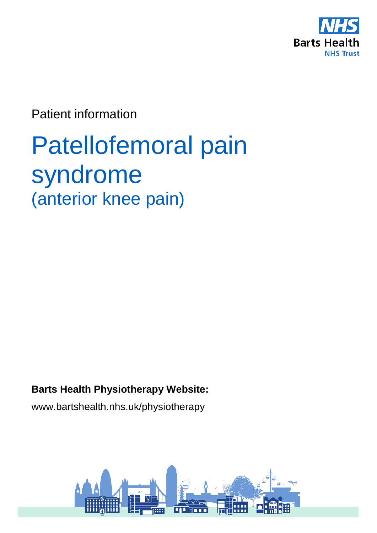

Patient information

# Patellofemoral pain syndrome (anterior knee pain)

**Barts Health Physiotherapy Website:** 

www.bartshealth.nhs.uk/physiotherapy

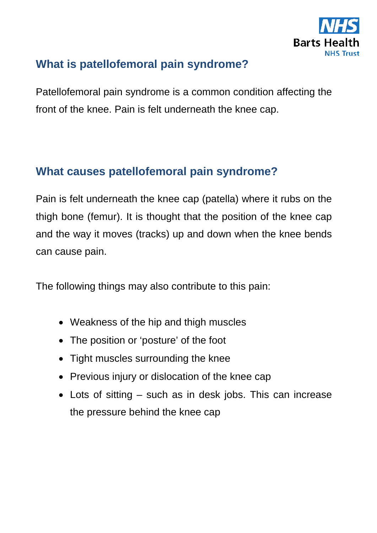

## **What is patellofemoral pain syndrome?**

Patellofemoral pain syndrome is a common condition affecting the front of the knee. Pain is felt underneath the knee cap.

#### **What causes patellofemoral pain syndrome?**

Pain is felt underneath the knee cap (patella) where it rubs on the thigh bone (femur). It is thought that the position of the knee cap and the way it moves (tracks) up and down when the knee bends can cause pain.

The following things may also contribute to this pain:

- Weakness of the hip and thigh muscles
- The position or 'posture' of the foot
- Tight muscles surrounding the knee
- Previous injury or dislocation of the knee cap
- Lots of sitting such as in desk jobs. This can increase the pressure behind the knee cap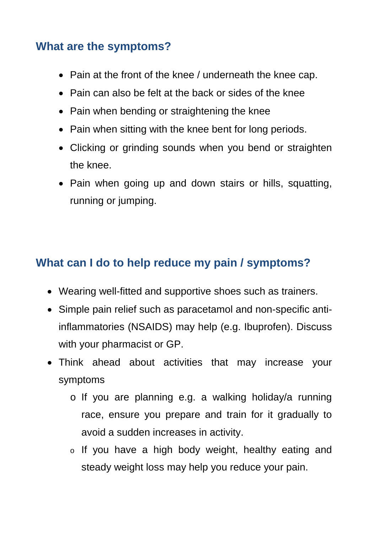## **What are the symptoms?**

- Pain at the front of the knee / underneath the knee cap.
- Pain can also be felt at the back or sides of the knee
- Pain when bending or straightening the knee
- Pain when sitting with the knee bent for long periods.
- Clicking or grinding sounds when you bend or straighten the knee.
- Pain when going up and down stairs or hills, squatting, running or jumping.

# **What can I do to help reduce my pain / symptoms?**

- Wearing well-fitted and supportive shoes such as trainers.
- Simple pain relief such as paracetamol and non-specific antiinflammatories (NSAIDS) may help (e.g. Ibuprofen). Discuss with your pharmacist or GP.
- Think ahead about activities that may increase your symptoms
	- o If you are planning e.g. a walking holiday/a running race, ensure you prepare and train for it gradually to avoid a sudden increases in activity.
	- o If you have a high body weight, healthy eating and steady weight loss may help you reduce your pain.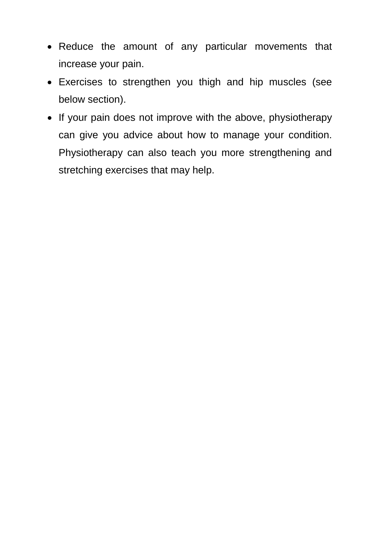- Reduce the amount of any particular movements that increase your pain.
- Exercises to strengthen you thigh and hip muscles (see below section).
- If your pain does not improve with the above, physiotherapy can give you advice about how to manage your condition. Physiotherapy can also teach you more strengthening and stretching exercises that may help.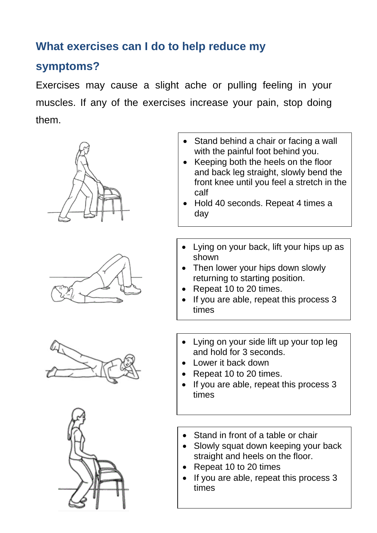## **What exercises can I do to help reduce my**

#### **symptoms?**

Exercises may cause a slight ache or pulling feeling in your muscles. If any of the exercises increase your pain, stop doing them.









- Stand behind a chair or facing a wall with the painful foot behind you.
- Keeping both the heels on the floor and back leg straight, slowly bend the front knee until you feel a stretch in the calf
- Hold 40 seconds. Repeat 4 times a day
- Lying on your back, lift your hips up as shown
- Then lower your hips down slowly returning to starting position.
- Repeat 10 to 20 times.
- If you are able, repeat this process 3 times
- Lying on your side lift up your top leg and hold for 3 seconds.
- Lower it back down
- Repeat 10 to 20 times.
- If you are able, repeat this process 3 times
- Stand in front of a table or chair
- Slowly squat down keeping your back straight and heels on the floor.
- Repeat 10 to 20 times
- If you are able, repeat this process 3 times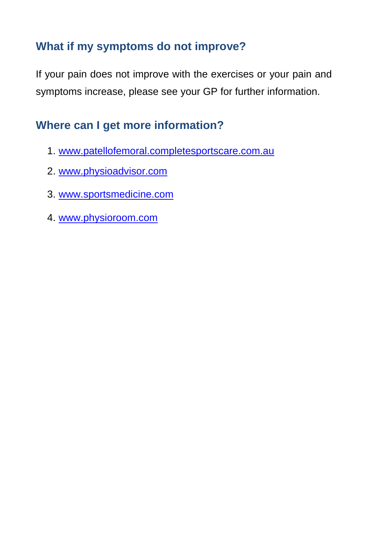## **What if my symptoms do not improve?**

If your pain does not improve with the exercises or your pain and symptoms increase, please see your GP for further information.

## **Where can I get more information?**

- 1. [www.patellofemoral.completesportscare.com.au](http://www.patellofemoral.completesportscare.com.au/)
- 2. [www.physioadvisor.com](http://www.physioadvisor.com/)
- 3. [www.sportsmedicine.com](http://www.sportsmedicine.com/)
- 4. [www.physioroom.com](http://www.physioroom.com/)